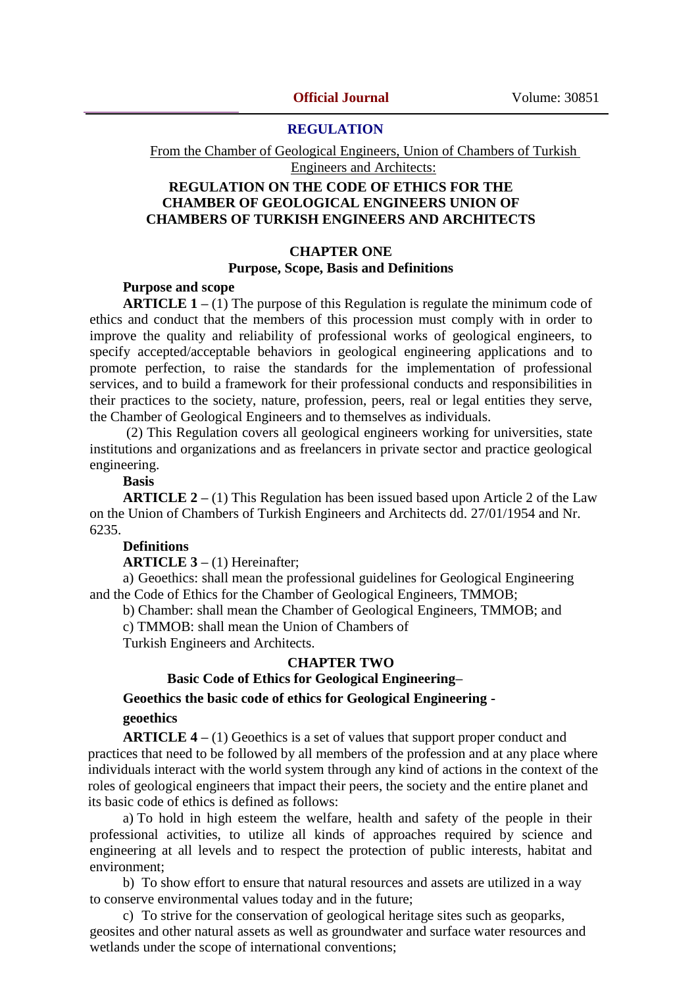### **REGULATION**

From the Chamber of Geological Engineers, Union of Chambers of Turkish Engineers and Architects:

# **REGULATION ON THE CODE OF ETHICS FOR THE CHAMBER OF GEOLOGICAL ENGINEERS UNION OF CHAMBERS OF TURKISH ENGINEERS AND ARCHITECTS**

### **CHAPTER ONE Purpose, Scope, Basis and Definitions**

### **Purpose and scope**

**ARTICLE 1 –** (1) The purpose of this Regulation is regulate the minimum code of ethics and conduct that the members of this procession must comply with in order to improve the quality and reliability of professional works of geological engineers, to specify accepted/acceptable behaviors in geological engineering applications and to promote perfection, to raise the standards for the implementation of professional services, and to build a framework for their professional conducts and responsibilities in their practices to the society, nature, profession, peers, real or legal entities they serve, the Chamber of Geological Engineers and to themselves as individuals.

(2) This Regulation covers all geological engineers working for universities, state institutions and organizations and as freelancers in private sector and practice geological engineering.

## **Basis**

**ARTICLE 2 –** (1) This Regulation has been issued based upon Article 2 of the Law on the Union of Chambers of Turkish Engineers and Architects dd. 27/01/1954 and Nr. 6235.

#### **Definitions**

**ARTICLE 3 –** (1) Hereinafter;

a) Geoethics: shall mean the professional guidelines for Geological Engineering and the Code of Ethics for the Chamber of Geological Engineers, TMMOB;

b) Chamber: shall mean the Chamber of Geological Engineers, TMMOB; and

c) TMMOB: shall mean the Union of Chambers of

Turkish Engineers and Architects.

# **CHAPTER TWO**

**Basic Code of Ethics for Geological Engineering–**

**Geoethics the basic code of ethics for Geological Engineering -**

# **geoethics**

**ARTICLE 4 –** (1) Geoethics is a set of values that support proper conduct and practices that need to be followed by all members of the profession and at any place where individuals interact with the world system through any kind of actions in the context of the roles of geological engineers that impact their peers, the society and the entire planet and its basic code of ethics is defined as follows:

a) To hold in high esteem the welfare, health and safety of the people in their professional activities, to utilize all kinds of approaches required by science and engineering at all levels and to respect the protection of public interests, habitat and environment;

b) To show effort to ensure that natural resources and assets are utilized in a way to conserve environmental values today and in the future;

c) To strive for the conservation of geological heritage sites such as geoparks, geosites and other natural assets as well as groundwater and surface water resources and wetlands under the scope of international conventions;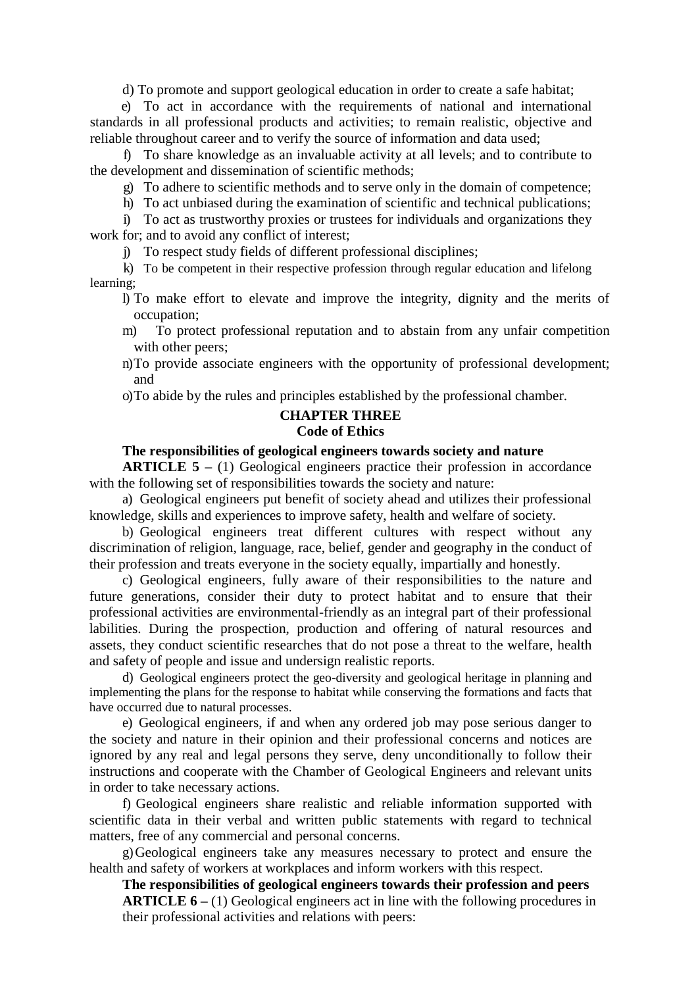d) To promote and support geological education in order to create a safe habitat;

e) To act in accordance with the requirements of national and international standards in all professional products and activities; to remain realistic, objective and reliable throughout career and to verify the source of information and data used;

f) To share knowledge as an invaluable activity at all levels; and to contribute to the development and dissemination of scientific methods;

g) To adhere to scientific methods and to serve only in the domain of competence;

h) To act unbiased during the examination of scientific and technical publications;

i) To act as trustworthy proxies or trustees for individuals and organizations they work for; and to avoid any conflict of interest;

j) To respect study fields of different professional disciplines;

- k) To be competent in their respective profession through regular education and lifelong learning;
	- l) To make effort to elevate and improve the integrity, dignity and the merits of occupation;
	- m) To protect professional reputation and to abstain from any unfair competition with other peers;
	- n)To provide associate engineers with the opportunity of professional development; and

o)To abide by the rules and principles established by the professional chamber.

# **CHAPTER THREE**

# **Code of Ethics**

### **The responsibilities of geological engineers towards society and nature**

**ARTICLE 5 –** (1) Geological engineers practice their profession in accordance with the following set of responsibilities towards the society and nature:

a) Geological engineers put benefit of society ahead and utilizes their professional knowledge, skills and experiences to improve safety, health and welfare of society.

b) Geological engineers treat different cultures with respect without any discrimination of religion, language, race, belief, gender and geography in the conduct of their profession and treats everyone in the society equally, impartially and honestly.

c) Geological engineers, fully aware of their responsibilities to the nature and future generations, consider their duty to protect habitat and to ensure that their professional activities are environmental-friendly as an integral part of their professional labilities. During the prospection, production and offering of natural resources and assets, they conduct scientific researches that do not pose a threat to the welfare, health and safety of people and issue and undersign realistic reports.

d) Geological engineers protect the geo-diversity and geological heritage in planning and implementing the plans for the response to habitat while conserving the formations and facts that have occurred due to natural processes.

e) Geological engineers, if and when any ordered job may pose serious danger to the society and nature in their opinion and their professional concerns and notices are ignored by any real and legal persons they serve, deny unconditionally to follow their instructions and cooperate with the Chamber of Geological Engineers and relevant units in order to take necessary actions.

f) Geological engineers share realistic and reliable information supported with scientific data in their verbal and written public statements with regard to technical matters, free of any commercial and personal concerns.

g)Geological engineers take any measures necessary to protect and ensure the health and safety of workers at workplaces and inform workers with this respect.

**The responsibilities of geological engineers towards their profession and peers ARTICLE 6 –** (1) Geological engineers act in line with the following procedures in their professional activities and relations with peers: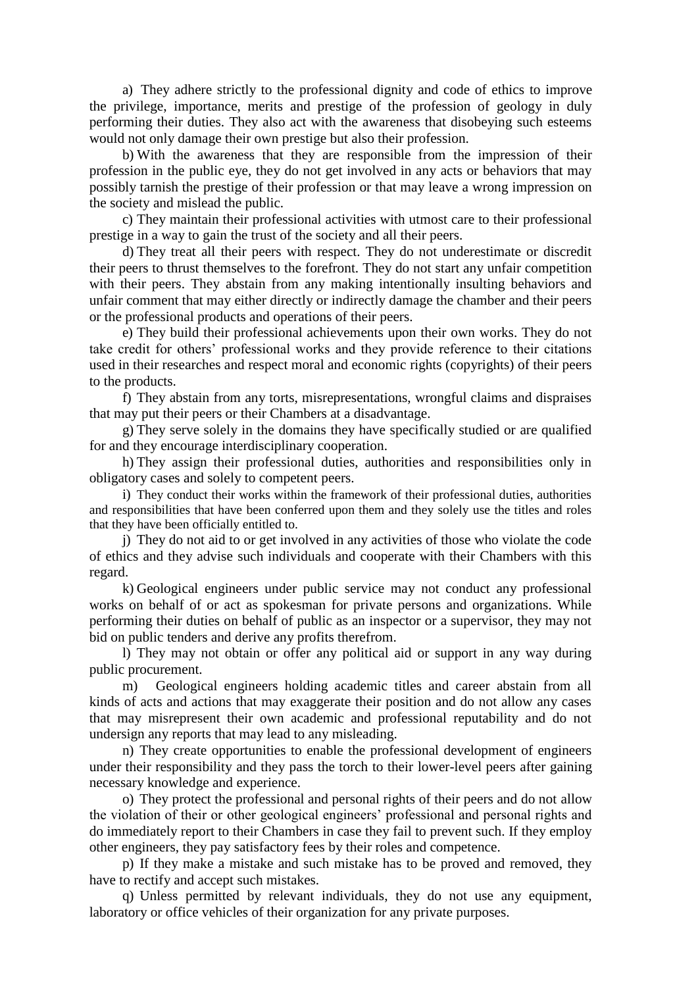a) They adhere strictly to the professional dignity and code of ethics to improve the privilege, importance, merits and prestige of the profession of geology in duly performing their duties. They also act with the awareness that disobeying such esteems would not only damage their own prestige but also their profession.

b) With the awareness that they are responsible from the impression of their profession in the public eye, they do not get involved in any acts or behaviors that may possibly tarnish the prestige of their profession or that may leave a wrong impression on the society and mislead the public.

c) They maintain their professional activities with utmost care to their professional prestige in a way to gain the trust of the society and all their peers.

d) They treat all their peers with respect. They do not underestimate or discredit their peers to thrust themselves to the forefront. They do not start any unfair competition with their peers. They abstain from any making intentionally insulting behaviors and unfair comment that may either directly or indirectly damage the chamber and their peers or the professional products and operations of their peers.

e) They build their professional achievements upon their own works. They do not take credit for others' professional works and they provide reference to their citations used in their researches and respect moral and economic rights (copyrights) of their peers to the products.

f) They abstain from any torts, misrepresentations, wrongful claims and dispraises that may put their peers or their Chambers at a disadvantage.

g) They serve solely in the domains they have specifically studied or are qualified for and they encourage interdisciplinary cooperation.

h) They assign their professional duties, authorities and responsibilities only in obligatory cases and solely to competent peers.

i) They conduct their works within the framework of their professional duties, authorities and responsibilities that have been conferred upon them and they solely use the titles and roles that they have been officially entitled to.

j) They do not aid to or get involved in any activities of those who violate the code of ethics and they advise such individuals and cooperate with their Chambers with this regard.

k) Geological engineers under public service may not conduct any professional works on behalf of or act as spokesman for private persons and organizations. While performing their duties on behalf of public as an inspector or a supervisor, they may not bid on public tenders and derive any profits therefrom.

l) They may not obtain or offer any political aid or support in any way during public procurement.

m) Geological engineers holding academic titles and career abstain from all kinds of acts and actions that may exaggerate their position and do not allow any cases that may misrepresent their own academic and professional reputability and do not undersign any reports that may lead to any misleading.

n) They create opportunities to enable the professional development of engineers under their responsibility and they pass the torch to their lower-level peers after gaining necessary knowledge and experience.

o) They protect the professional and personal rights of their peers and do not allow the violation of their or other geological engineers' professional and personal rights and do immediately report to their Chambers in case they fail to prevent such. If they employ other engineers, they pay satisfactory fees by their roles and competence.

p) If they make a mistake and such mistake has to be proved and removed, they have to rectify and accept such mistakes.

q) Unless permitted by relevant individuals, they do not use any equipment, laboratory or office vehicles of their organization for any private purposes.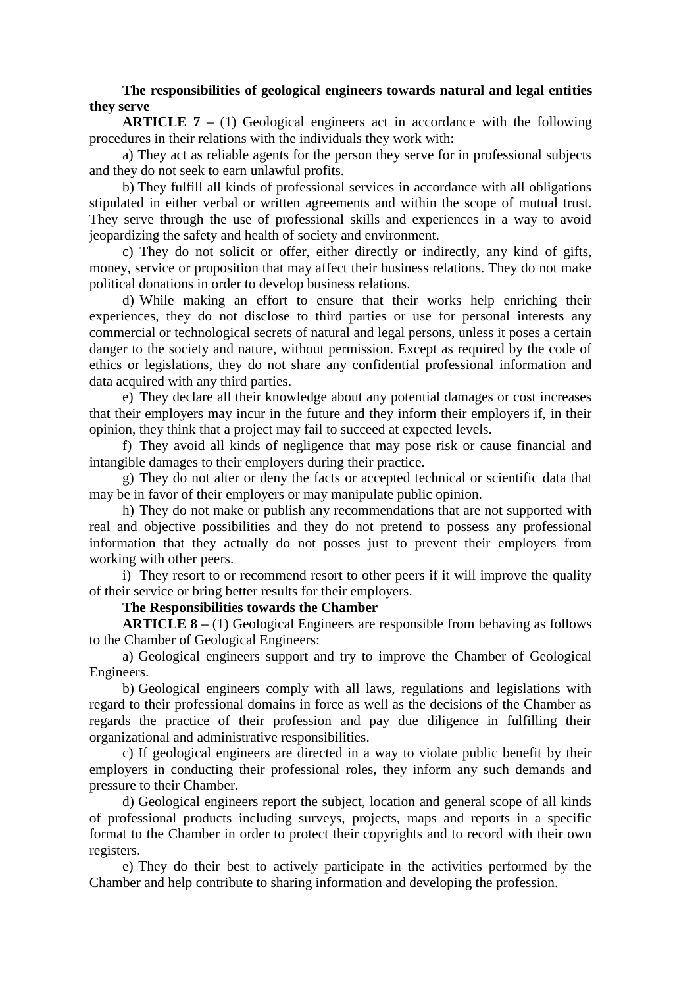### **The responsibilities of geological engineers towards natural and legal entities they serve**

**ARTICLE 7 –** (1) Geological engineers act in accordance with the following procedures in their relations with the individuals they work with:

a) They act as reliable agents for the person they serve for in professional subjects and they do not seek to earn unlawful profits.

b) They fulfill all kinds of professional services in accordance with all obligations stipulated in either verbal or written agreements and within the scope of mutual trust. They serve through the use of professional skills and experiences in a way to avoid jeopardizing the safety and health of society and environment.

c) They do not solicit or offer, either directly or indirectly, any kind of gifts, money, service or proposition that may affect their business relations. They do not make political donations in order to develop business relations.

d) While making an effort to ensure that their works help enriching their experiences, they do not disclose to third parties or use for personal interests any commercial or technological secrets of natural and legal persons, unless it poses a certain danger to the society and nature, without permission. Except as required by the code of ethics or legislations, they do not share any confidential professional information and data acquired with any third parties.

e) They declare all their knowledge about any potential damages or cost increases that their employers may incur in the future and they inform their employers if, in their opinion, they think that a project may fail to succeed at expected levels.

f) They avoid all kinds of negligence that may pose risk or cause financial and intangible damages to their employers during their practice.

g) They do not alter or deny the facts or accepted technical or scientific data that may be in favor of their employers or may manipulate public opinion.

h) They do not make or publish any recommendations that are not supported with real and objective possibilities and they do not pretend to possess any professional information that they actually do not posses just to prevent their employers from working with other peers.

i) They resort to or recommend resort to other peers if it will improve the quality of their service or bring better results for their employers.

#### **The Responsibilities towards the Chamber**

**ARTICLE 8 –** (1) Geological Engineers are responsible from behaving as follows to the Chamber of Geological Engineers:

a) Geological engineers support and try to improve the Chamber of Geological Engineers.

b) Geological engineers comply with all laws, regulations and legislations with regard to their professional domains in force as well as the decisions of the Chamber as regards the practice of their profession and pay due diligence in fulfilling their organizational and administrative responsibilities.

c) If geological engineers are directed in a way to violate public benefit by their employers in conducting their professional roles, they inform any such demands and pressure to their Chamber.

d) Geological engineers report the subject, location and general scope of all kinds of professional products including surveys, projects, maps and reports in a specific format to the Chamber in order to protect their copyrights and to record with their own registers.

e) They do their best to actively participate in the activities performed by the Chamber and help contribute to sharing information and developing the profession.